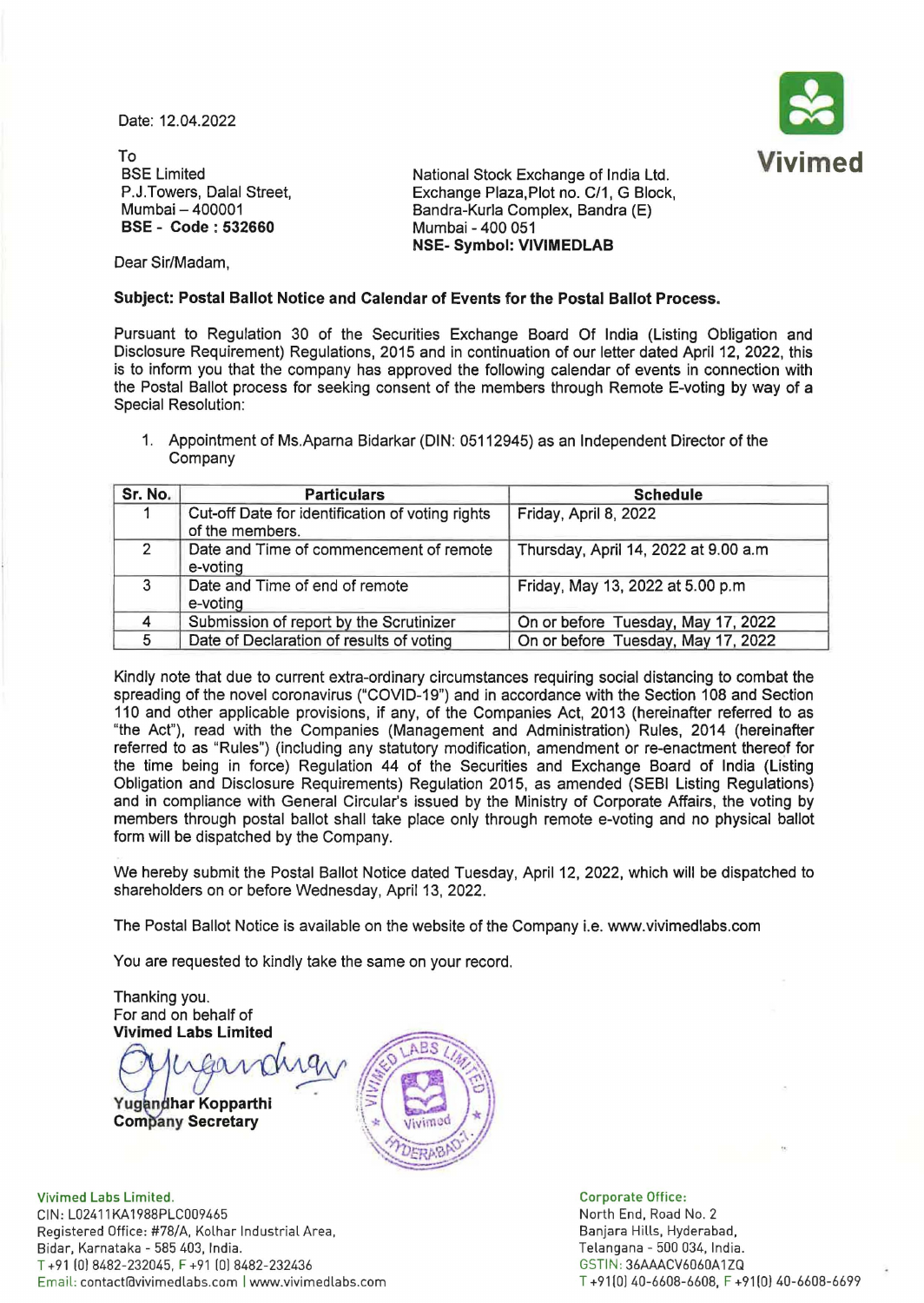Date: 12.04.2022



To BSE Limited P.J. Towers, Dalal Street, Mumbai - 400001 BSE - Code : 532660

National Stock Exchange of India Ltd. Exchange Plaza,Plot no. C/1, G Block, Bandra-Kurla Complex, Bandra (E) Mumbai - 400 051 NSE- Symbol: VIVIMEDLAB

Dear Sir/Madam,

# Subject: Postal Ballot Notice and Calendar of Events for the Postal Ballot Process.

Pursuant to Regulation 30 of the Securities Exchange Board Of India (Listing Obligation and Disclosure Requirement) Regulations, 2015 and in continuation of our letter dated April 12, 2022, this is to inform you that the company has approved the following calendar of events in connection with the Postal Ballot process for seeking consent of the members through Remote E-voting by way of a Special Resolution:

1. Appointment of Ms.Aparna Bidarkar (DIN: 05112945) as an Independent Director of the Company

| Sr. No.       | <b>Particulars</b>                                                  | <b>Schedule</b>                      |
|---------------|---------------------------------------------------------------------|--------------------------------------|
|               | Cut-off Date for identification of voting rights<br>of the members. | Friday, April 8, 2022                |
| $\mathcal{D}$ | Date and Time of commencement of remote<br>e-voting                 | Thursday, April 14, 2022 at 9.00 a.m |
| 3             | Date and Time of end of remote<br>e-voting                          | Friday, May 13, 2022 at 5.00 p.m.    |
| 4             | Submission of report by the Scrutinizer                             | On or before Tuesday, May 17, 2022   |
| 5             | Date of Declaration of results of voting                            | On or before Tuesday, May 17, 2022   |

Kindly note that due to current extra-ordinary circumstances requiring social distancing to combat the spreading of the novel coronavirus ("COVID-19") and in accordance with the Section 108 and Section 110 and other applicable provisions, if any, of the Companies Act, 2013 (hereinafter referred to as "the Act"), read with the Companies (Management and Administration) Rules, 2014 (hereinafter referred to as "Rules") (including any statutory modification, amendment or re-enactment thereof for the time being in force) Regulation 44 of the Securities and Exchange Board of India (Listing Obligation and Disclosure Requirements) Regulation 2015, as amended (SEBI Listing Regulations) and in compliance with General Circular's issued by the Ministry of Corporate Affairs, the voting by members through postal ballot shall take place only through remote e-voting and no physical ballot form will be dispatched by the Company.

We hereby submit the Postal Ballot Notice dated Tuesday, April 12, 2022, which will be dispatched to shareholders on or before Wednesday, April 13, 2022.

The Postal Ballot Notice is available on the website of the Company i.e. www.vivimedlabs.com

You are requested to kindly take the same on your record.

Thanking you. For and on behalf of Vivimed Labs Limited

 $\lambda$ 

Yug<mark>andhar Kopparthi</mark> International Company Secretary



Vivimed Labs Limited. CIN: L02411KA1988PLC009465 Registered Office: #78/A, Kolhar Industrial Area, Bidar, Karnataka - 585 403, India. T +91 (0) 8482-232045, F +91 10) 8482-232436 Email: contact@vivimedlabs.com | www.vivimedlabs.com

Corporate Office: North End, Road No. 2 Banjara Hills, Hyderabad, Telangana - 500 034, India. GSTIN : 36AAACV6060A1ZQ T +91(0) 40-6608-6608, F +91(0) 40-6608-6699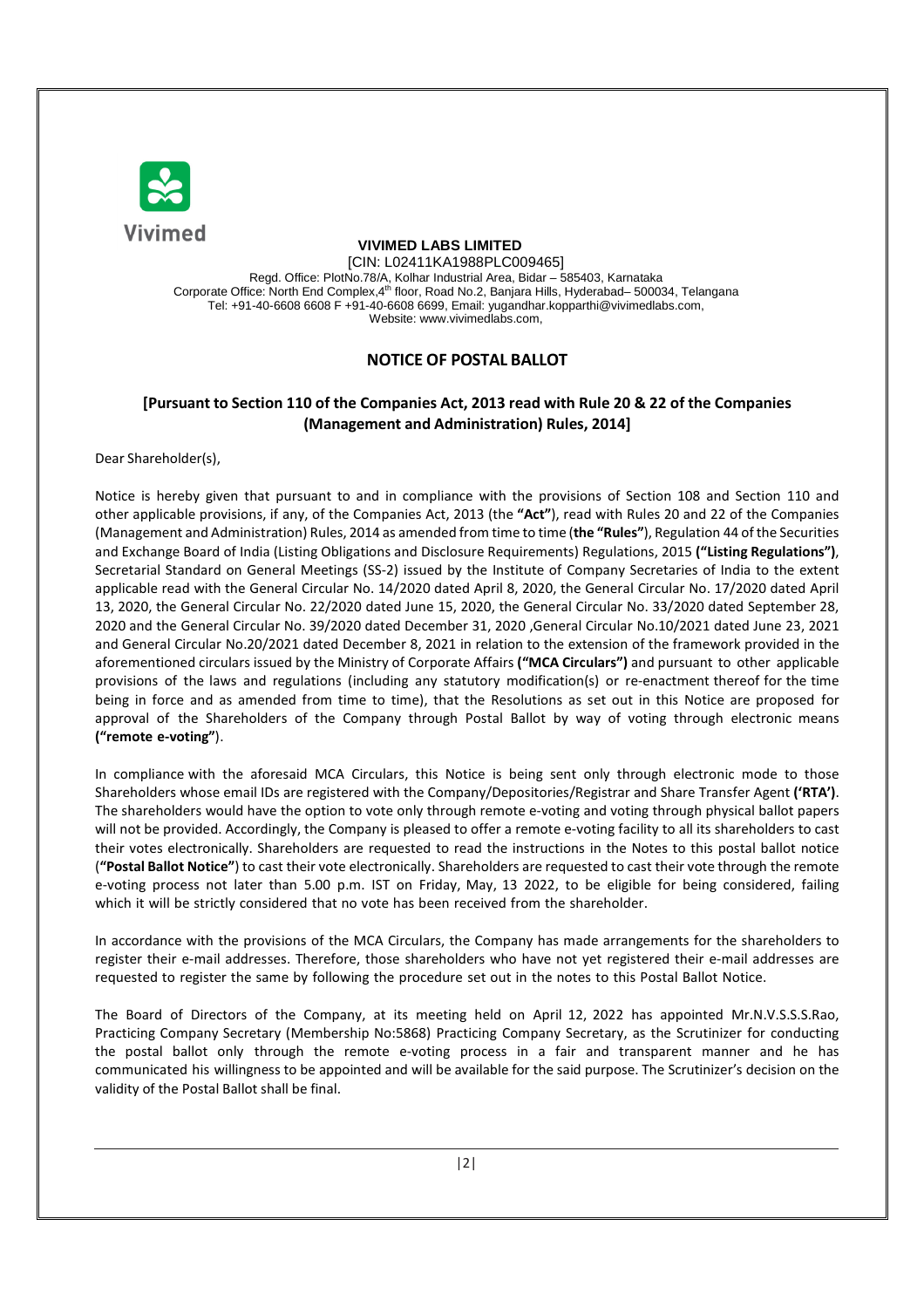

# **VIVIMED LABS LIMITED**

[CIN: L02411KA1988PLC009465] Regd. Office: PlotNo.78/A, Kolhar Industrial Area, Bidar – 585403, Karnataka Corporate Office: North End Complex,4<sup>th</sup> floor, Road No.2, Banjara Hills, Hyderabad– 500034, Telangana Tel: +91-40-6608 6608 F +91-40-6608 6699, Email: yugandhar.kopparthi@vivimedlabs.com, Website: www.vivimedlabs.com,

# **NOTICE OF POSTAL BALLOT**

# **[Pursuant to Section 110 of the Companies Act, 2013 read with Rule 20 & 22 of the Companies (Management and Administration) Rules, 2014]**

Dear Shareholder(s),

Notice is hereby given that pursuant to and in compliance with the provisions of Section 108 and Section 110 and other applicable provisions, if any, of the Companies Act, 2013 (the **"Act"**), read with Rules 20 and 22 of the Companies (Management and Administration) Rules, 2014 as amended from time to time (**the "Rules"**), Regulation 44 of the Securities and Exchange Board of India (Listing Obligations and Disclosure Requirements) Regulations, 2015 **("Listing Regulations")**, Secretarial Standard on General Meetings (SS-2) issued by the Institute of Company Secretaries of India to the extent applicable read with the General Circular No. 14/2020 dated April 8, 2020, the General Circular No. 17/2020 dated April 13, 2020, the General Circular No. 22/2020 dated June 15, 2020, the General Circular No. 33/2020 dated September 28, 2020 and the General Circular No. 39/2020 dated December 31, 2020 ,General Circular No.10/2021 dated June 23, 2021 and General Circular No.20/2021 dated December 8, 2021 in relation to the extension of the framework provided in the aforementioned circulars issued by the Ministry of Corporate Affairs **("MCA Circulars")** and pursuant to other applicable provisions of the laws and regulations (including any statutory modification(s) or re-enactment thereof for the time being in force and as amended from time to time), that the Resolutions as set out in this Notice are proposed for approval of the Shareholders of the Company through Postal Ballot by way of voting through electronic means **("remote e-voting"**).

In compliance with the aforesaid MCA Circulars, this Notice is being sent only through electronic mode to those Shareholders whose email IDs are registered with the Company/Depositories/Registrar and Share Transfer Agent **('RTA')**. The shareholders would have the option to vote only through remote e-voting and voting through physical ballot papers will not be provided. Accordingly, the Company is pleased to offer a remote e-voting facility to all its shareholders to cast their votes electronically. Shareholders are requested to read the instructions in the Notes to this postal ballot notice (**"Postal Ballot Notice"**) to cast their vote electronically. Shareholders are requested to cast their vote through the remote e-voting process not later than 5.00 p.m. IST on Friday, May, 13 2022, to be eligible for being considered, failing which it will be strictly considered that no vote has been received from the shareholder.

In accordance with the provisions of the MCA Circulars, the Company has made arrangements for the shareholders to register their e-mail addresses. Therefore, those shareholders who have not yet registered their e-mail addresses are requested to register the same by following the procedure set out in the notes to this Postal Ballot Notice.

The Board of Directors of the Company, at its meeting held on April 12, 2022 has appointed Mr.N.V.S.S.S.Rao, Practicing Company Secretary (Membership No:5868) Practicing Company Secretary, as the Scrutinizer for conducting the postal ballot only through the remote e-voting process in a fair and transparent manner and he has communicated his willingness to be appointed and will be available for the said purpose. The Scrutinizer's decision on the validity of the Postal Ballot shall be final.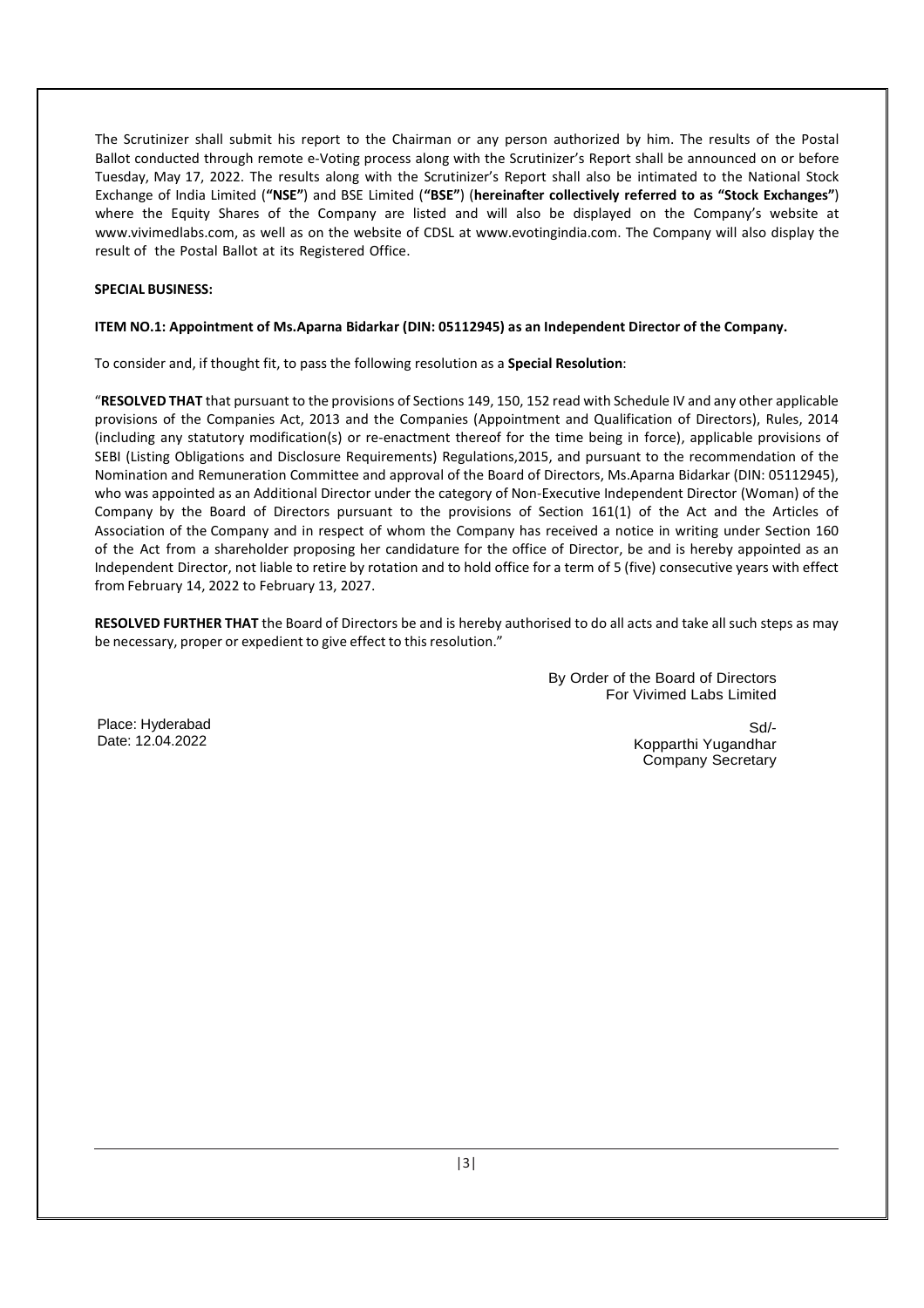The Scrutinizer shall submit his report to the Chairman or any person authorized by him. The results of the Postal Ballot conducted through remote e-Voting process along with the Scrutinizer's Report shall be announced on or before Tuesday, May 17, 2022. The results along with the Scrutinizer's Report shall also be intimated to the National Stock Exchange of India Limited (**"NSE"**) and BSE Limited (**"BSE"**) (**hereinafter collectively referred to as "Stock Exchanges"**) where the Equity Shares of the Company are listed and will also be displayed on the Company's website at www.vivimedlabs.com, as well as on the website of CDSL at www.evotingindia.com. The Company will also display the result of the Postal Ballot at its Registered Office.

# **SPECIAL BUSINESS:**

#### **ITEM NO.1: Appointment of Ms.Aparna Bidarkar (DIN: 05112945) as an Independent Director of the Company.**

To consider and, if thought fit, to pass the following resolution as a **Special Resolution**:

"**RESOLVED THAT** that pursuant to the provisions of Sections 149, 150, 152 read with Schedule IV and any other applicable provisions of the Companies Act, 2013 and the Companies (Appointment and Qualification of Directors), Rules, 2014 (including any statutory modification(s) or re-enactment thereof for the time being in force), applicable provisions of SEBI (Listing Obligations and Disclosure Requirements) Regulations,2015, and pursuant to the recommendation of the Nomination and Remuneration Committee and approval of the Board of Directors, Ms.Aparna Bidarkar (DIN: 05112945), who was appointed as an Additional Director under the category of Non-Executive Independent Director (Woman) of the Company by the Board of Directors pursuant to the provisions of Section 161(1) of the Act and the Articles of Association of the Company and in respect of whom the Company has received a notice in writing under Section 160 of the Act from a shareholder proposing her candidature for the office of Director, be and is hereby appointed as an Independent Director, not liable to retire by rotation and to hold office for a term of 5 (five) consecutive years with effect from February 14, 2022 to February 13, 2027.

**RESOLVED FURTHER THAT** the Board of Directors be and is hereby authorised to do all acts and take all such steps as may be necessary, proper or expedient to give effect to this resolution."

> By Order of the Board of Directors For Vivimed Labs Limited

Place: Hyderabad Date: 12.04.2022

Sd/- Kopparthi Yugandhar Company Secretary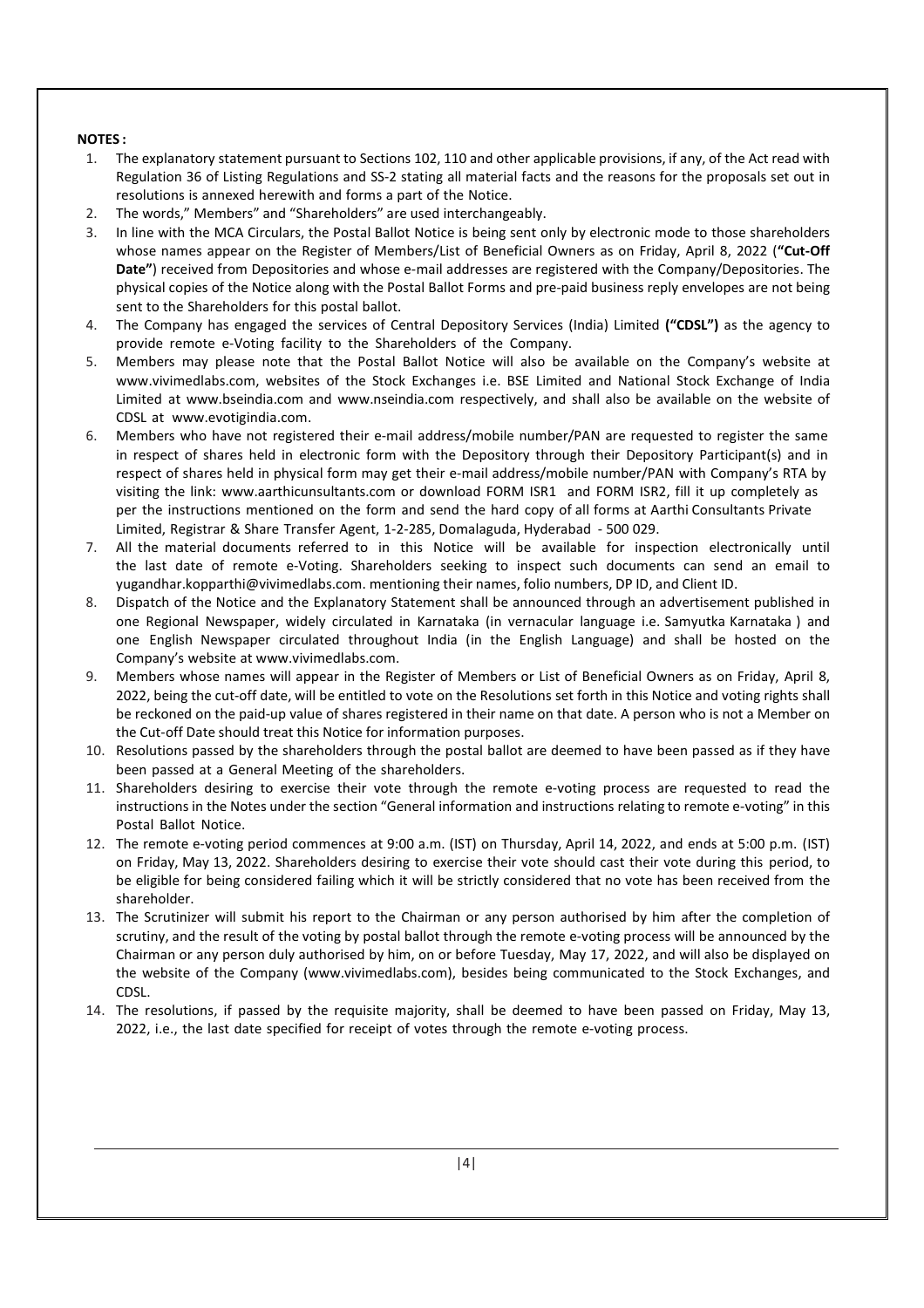# **NOTES :**

- 1. The explanatory statement pursuant to Sections 102, 110 and other applicable provisions, if any, of the Act read with Regulation 36 of Listing Regulations and SS-2 stating all material facts and the reasons for the proposals set out in resolutions is annexed herewith and forms a part of the Notice.
- 2. The words," Members" and "Shareholders" are used interchangeably.
- 3. In line with the MCA Circulars, the Postal Ballot Notice is being sent only by electronic mode to those shareholders whose names appear on the Register of Members/List of Beneficial Owners as on Friday, April 8, 2022 (**"Cut-Off Date"**) received from Depositories and whose e-mail addresses are registered with the Company/Depositories. The physical copies of the Notice along with the Postal Ballot Forms and pre-paid business reply envelopes are not being sent to the Shareholders for this postal ballot.
- 4. The Company has engaged the services of Central Depository Services (India) Limited **("CDSL")** as the agency to provide remote e-Voting facility to the Shareholders of the Company.
- 5. Members may please note that the Postal Ballot Notice will also be available on the Company's website at www.vivimedlabs.com, websites of the Stock Exchanges i.e. BSE Limited and National Stock Exchange of India Limited at www.bseindia.com and www.nseindia.com respectively, and shall also be available on the website of CDSL at www.evotigindia.com.
- 6. Members who have not registered their e-mail address/mobile number/PAN are requested to register the same in respect of shares held in electronic form with the Depository through their Depository Participant(s) and in respect of shares held in physical form may get their e-mail address/mobile number/PAN with Company's RTA by visiting the link: www.aarthicunsultants.com or download FORM ISR1 and FORM ISR2, fill it up completely as per the instructions mentioned on the form and send the hard copy of all forms at Aarthi Consultants Private Limited, Registrar & Share Transfer Agent, 1-2-285, Domalaguda, Hyderabad - 500 029.
- 7. All the material documents referred to in this Notice will be available for inspection electronically until the last date of remote e-Voting. Shareholders seeking to inspect such documents can send an email to yugandhar.kopparthi@vivimedlabs.com. mentioning their names, folio numbers, DP ID, and Client ID.
- 8. Dispatch of the Notice and the Explanatory Statement shall be announced through an advertisement published in one Regional Newspaper, widely circulated in Karnataka (in vernacular language i.e. Samyutka Karnataka ) and one English Newspaper circulated throughout India (in the English Language) and shall be hosted on the Company's website at www.vivimedlabs.com.
- 9. Members whose names will appear in the Register of Members or List of Beneficial Owners as on Friday, April 8, 2022, being the cut-off date, will be entitled to vote on the Resolutions set forth in this Notice and voting rights shall be reckoned on the paid-up value of shares registered in their name on that date. A person who is not a Member on the Cut-off Date should treat this Notice for information purposes.
- 10. Resolutions passed by the shareholders through the postal ballot are deemed to have been passed as if they have been passed at a General Meeting of the shareholders.
- 11. Shareholders desiring to exercise their vote through the remote e-voting process are requested to read the instructions in the Notes under the section "General information and instructions relating to remote e-voting" in this Postal Ballot Notice.
- 12. The remote e-voting period commences at 9:00 a.m. (IST) on Thursday, April 14, 2022, and ends at 5:00 p.m. (IST) on Friday, May 13, 2022. Shareholders desiring to exercise their vote should cast their vote during this period, to be eligible for being considered failing which it will be strictly considered that no vote has been received from the shareholder.
- 13. The Scrutinizer will submit his report to the Chairman or any person authorised by him after the completion of scrutiny, and the result of the voting by postal ballot through the remote e-voting process will be announced by the Chairman or any person duly authorised by him, on or before Tuesday, May 17, 2022, and will also be displayed on the website of the Company (www.vivimedlabs.com), besides being communicated to the Stock Exchanges, and CDSL.
- 14. The resolutions, if passed by the requisite majority, shall be deemed to have been passed on Friday, May 13, 2022, i.e., the last date specified for receipt of votes through the remote e-voting process.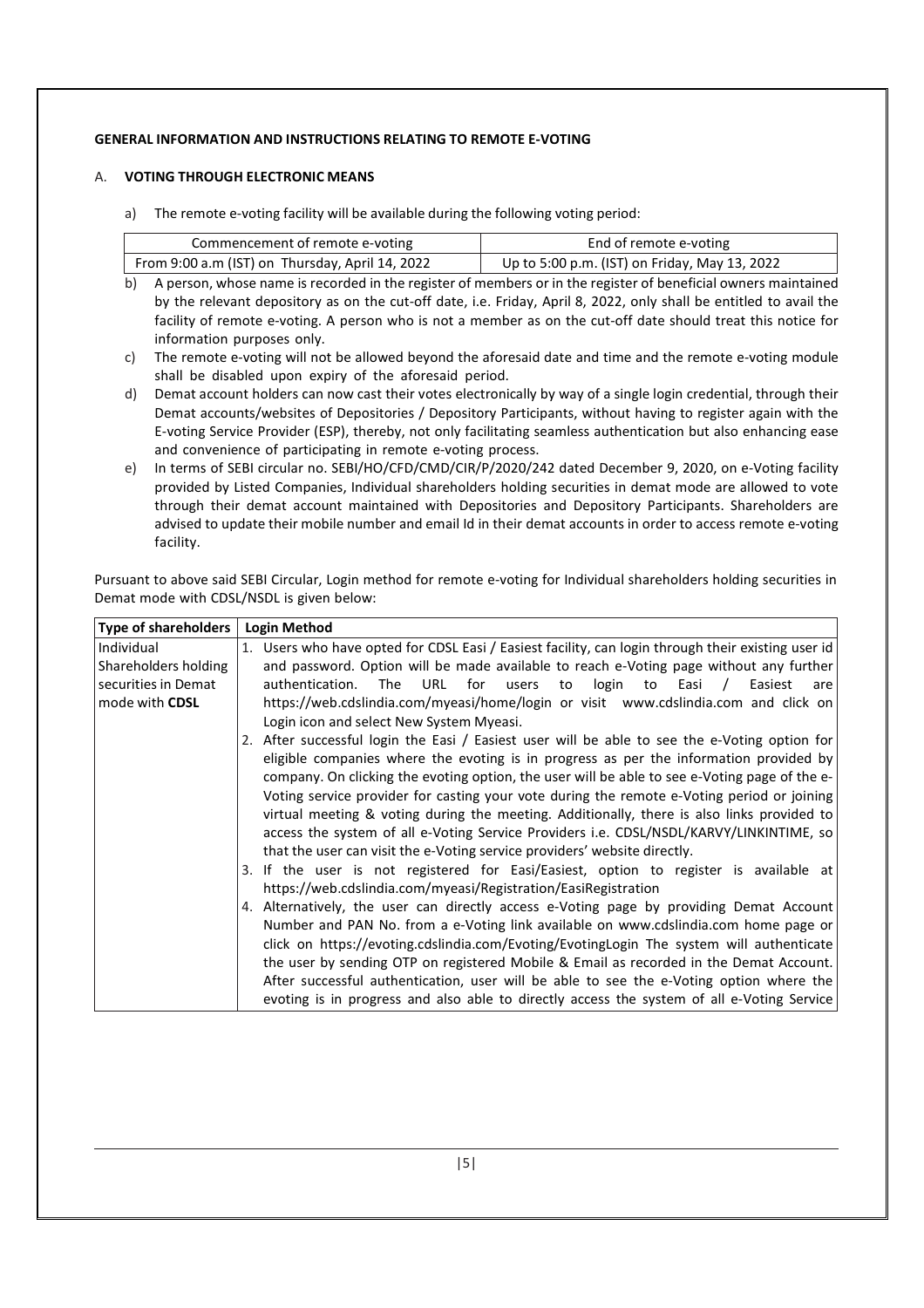# **GENERAL INFORMATION AND INSTRUCTIONS RELATING TO REMOTE E-VOTING**

#### A. **VOTING THROUGH ELECTRONIC MEANS**

a) The remote e-voting facility will be available during the following voting period:

| Commencement of remote e-voting                 | End of remote e-voting                        |
|-------------------------------------------------|-----------------------------------------------|
| From 9:00 a.m (IST) on Thursday, April 14, 2022 | Up to 5:00 p.m. (IST) on Friday, May 13, 2022 |

- b) A person, whose name is recorded in the register of members or in the register of beneficial owners maintained by the relevant depository as on the cut-off date, i.e. Friday, April 8, 2022, only shall be entitled to avail the facility of remote e-voting. A person who is not a member as on the cut-off date should treat this notice for information purposes only.
- c) The remote e-voting will not be allowed beyond the aforesaid date and time and the remote e-voting module shall be disabled upon expiry of the aforesaid period.
- d) Demat account holders can now cast their votes electronically by way of a single login credential, through their Demat accounts/websites of Depositories / Depository Participants, without having to register again with the E-voting Service Provider (ESP), thereby, not only facilitating seamless authentication but also enhancing ease and convenience of participating in remote e-voting process.
- e) In terms of SEBI circular no. SEBI/HO/CFD/CMD/CIR/P/2020/242 dated December 9, 2020, on e-Voting facility provided by Listed Companies, Individual shareholders holding securities in demat mode are allowed to vote through their demat account maintained with Depositories and Depository Participants. Shareholders are advised to update their mobile number and email Id in their demat accounts in order to access remote e-voting facility.

Pursuant to above said SEBI Circular, Login method for remote e-voting for Individual shareholders holding securities in Demat mode with CDSL/NSDL is given below:

| <b>Type of shareholders</b> | <b>Login Method</b>                                                                                   |  |  |  |
|-----------------------------|-------------------------------------------------------------------------------------------------------|--|--|--|
| Individual                  | 1. Users who have opted for CDSL Easi / Easiest facility, can login through their existing user id    |  |  |  |
| Shareholders holding        | and password. Option will be made available to reach e-Voting page without any further                |  |  |  |
| securities in Demat         | authentication.<br>URL<br>for<br>login to<br>The<br>users<br>Easi<br>Easiest<br>to<br>$\prime$<br>are |  |  |  |
| mode with <b>CDSL</b>       | https://web.cdslindia.com/myeasi/home/login or visit www.cdslindia.com and click on                   |  |  |  |
|                             | Login icon and select New System Myeasi.                                                              |  |  |  |
|                             | 2. After successful login the Easi / Easiest user will be able to see the e-Voting option for         |  |  |  |
|                             | eligible companies where the evoting is in progress as per the information provided by                |  |  |  |
|                             | company. On clicking the evoting option, the user will be able to see e-Voting page of the e-         |  |  |  |
|                             | Voting service provider for casting your vote during the remote e-Voting period or joining            |  |  |  |
|                             | virtual meeting & voting during the meeting. Additionally, there is also links provided to            |  |  |  |
|                             | access the system of all e-Voting Service Providers i.e. CDSL/NSDL/KARVY/LINKINTIME, so               |  |  |  |
|                             | that the user can visit the e-Voting service providers' website directly.                             |  |  |  |
|                             | 3. If the user is not registered for Easi/Easiest, option to register is available at                 |  |  |  |
|                             | https://web.cdslindia.com/myeasi/Registration/EasiRegistration                                        |  |  |  |
|                             | 4. Alternatively, the user can directly access e-Voting page by providing Demat Account               |  |  |  |
|                             | Number and PAN No. from a e-Voting link available on www.cdslindia.com home page or                   |  |  |  |
|                             | click on https://evoting.cdslindia.com/Evoting/EvotingLogin The system will authenticate              |  |  |  |
|                             | the user by sending OTP on registered Mobile & Email as recorded in the Demat Account.                |  |  |  |
|                             | After successful authentication, user will be able to see the e-Voting option where the               |  |  |  |
|                             | evoting is in progress and also able to directly access the system of all e-Voting Service            |  |  |  |

Providers.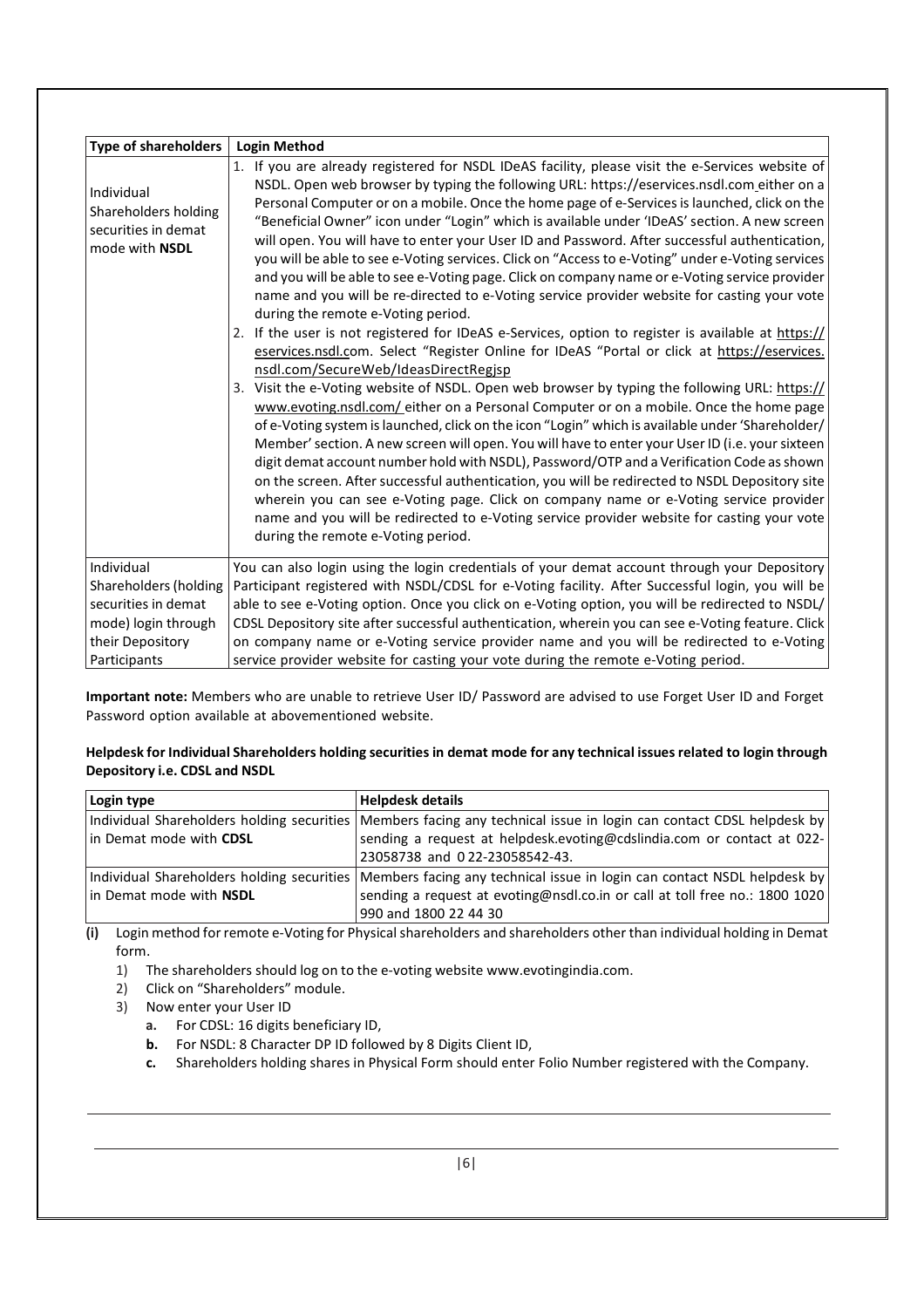| <b>Type of shareholders</b>                                                                                           | <b>Login Method</b>                                                                                                                                                                                                                                                                                                                                                                                                                                                                                                                                                                                                                                                                                                                                                                                                                                                                                                                                                                                                                                                                                                                                                                                                                                                                                                                                                                                                                                                                                                                                                                                                                                                                                                                                                                                                                                                                                                  |
|-----------------------------------------------------------------------------------------------------------------------|----------------------------------------------------------------------------------------------------------------------------------------------------------------------------------------------------------------------------------------------------------------------------------------------------------------------------------------------------------------------------------------------------------------------------------------------------------------------------------------------------------------------------------------------------------------------------------------------------------------------------------------------------------------------------------------------------------------------------------------------------------------------------------------------------------------------------------------------------------------------------------------------------------------------------------------------------------------------------------------------------------------------------------------------------------------------------------------------------------------------------------------------------------------------------------------------------------------------------------------------------------------------------------------------------------------------------------------------------------------------------------------------------------------------------------------------------------------------------------------------------------------------------------------------------------------------------------------------------------------------------------------------------------------------------------------------------------------------------------------------------------------------------------------------------------------------------------------------------------------------------------------------------------------------|
| Individual<br>Shareholders holding<br>securities in demat<br>mode with NSDL                                           | 1. If you are already registered for NSDL IDeAS facility, please visit the e-Services website of<br>NSDL. Open web browser by typing the following URL: https://eservices.nsdl.com_either on a<br>Personal Computer or on a mobile. Once the home page of e-Services is launched, click on the<br>"Beneficial Owner" icon under "Login" which is available under 'IDeAS' section. A new screen<br>will open. You will have to enter your User ID and Password. After successful authentication,<br>you will be able to see e-Voting services. Click on "Access to e-Voting" under e-Voting services<br>and you will be able to see e-Voting page. Click on company name or e-Voting service provider<br>name and you will be re-directed to e-Voting service provider website for casting your vote<br>during the remote e-Voting period.<br>2. If the user is not registered for IDeAS e-Services, option to register is available at https://<br>eservices.nsdl.com. Select "Register Online for IDeAS "Portal or click at https://eservices.<br>nsdl.com/SecureWeb/IdeasDirectRegisp<br>3. Visit the e-Voting website of NSDL. Open web browser by typing the following URL: https://<br>www.evoting.nsdl.com/either on a Personal Computer or on a mobile. Once the home page<br>of e-Voting system is launched, click on the icon "Login" which is available under 'Shareholder/<br>Member' section. A new screen will open. You will have to enter your User ID (i.e. your sixteen<br>digit demat account number hold with NSDL), Password/OTP and a Verification Code as shown<br>on the screen. After successful authentication, you will be redirected to NSDL Depository site<br>wherein you can see e-Voting page. Click on company name or e-Voting service provider<br>name and you will be redirected to e-Voting service provider website for casting your vote<br>during the remote e-Voting period. |
| Individual<br>Shareholders (holding<br>securities in demat<br>mode) login through<br>their Depository<br>Participants | You can also login using the login credentials of your demat account through your Depository<br>Participant registered with NSDL/CDSL for e-Voting facility. After Successful login, you will be<br>able to see e-Voting option. Once you click on e-Voting option, you will be redirected to NSDL/<br>CDSL Depository site after successful authentication, wherein you can see e-Voting feature. Click<br>on company name or e-Voting service provider name and you will be redirected to e-Voting<br>service provider website for casting your vote during the remote e-Voting period.                                                                                                                                                                                                                                                                                                                                                                                                                                                                                                                                                                                                                                                                                                                                                                                                                                                                                                                                                                                                                                                                                                                                                                                                                                                                                                                            |

**Important note:** Members who are unable to retrieve User ID/ Password are advised to use Forget User ID and Forget Password option available at abovementioned website.

#### **Helpdesk for Individual Shareholders holding securities in demat mode for any technical issues related to login through Depository i.e. CDSL and NSDL**

| Login type              | <b>Helpdesk details</b>                                                                                               |  |
|-------------------------|-----------------------------------------------------------------------------------------------------------------------|--|
|                         | Individual Shareholders holding securities   Members facing any technical issue in login can contact CDSL helpdesk by |  |
| in Demat mode with CDSL | sending a request at helpdesk.evoting@cdslindia.com or contact at 022-                                                |  |
|                         | 23058738 and 022-23058542-43.                                                                                         |  |
|                         | Individual Shareholders holding securities   Members facing any technical issue in login can contact NSDL helpdesk by |  |
| in Demat mode with NSDL | sending a request at evoting@nsdl.co.in or call at toll free no.: 1800 1020                                           |  |
|                         | 990 and 1800 22 44 30                                                                                                 |  |

**(i)** Login method for remote e-Voting for Physical shareholders and shareholders other than individual holding in Demat form.

- 1) The shareholders should log on to the e-voting website www.evotingindia.com.
- 2) Click on "Shareholders" module.
- 3) Now enter your User ID
	- **a.** For CDSL: 16 digits beneficiary ID,
	- **b.** For NSDL: 8 Character DP ID followed by 8 Digits Client ID,
	- **c.** Shareholders holding shares in Physical Form should enter Folio Number registered with the Company.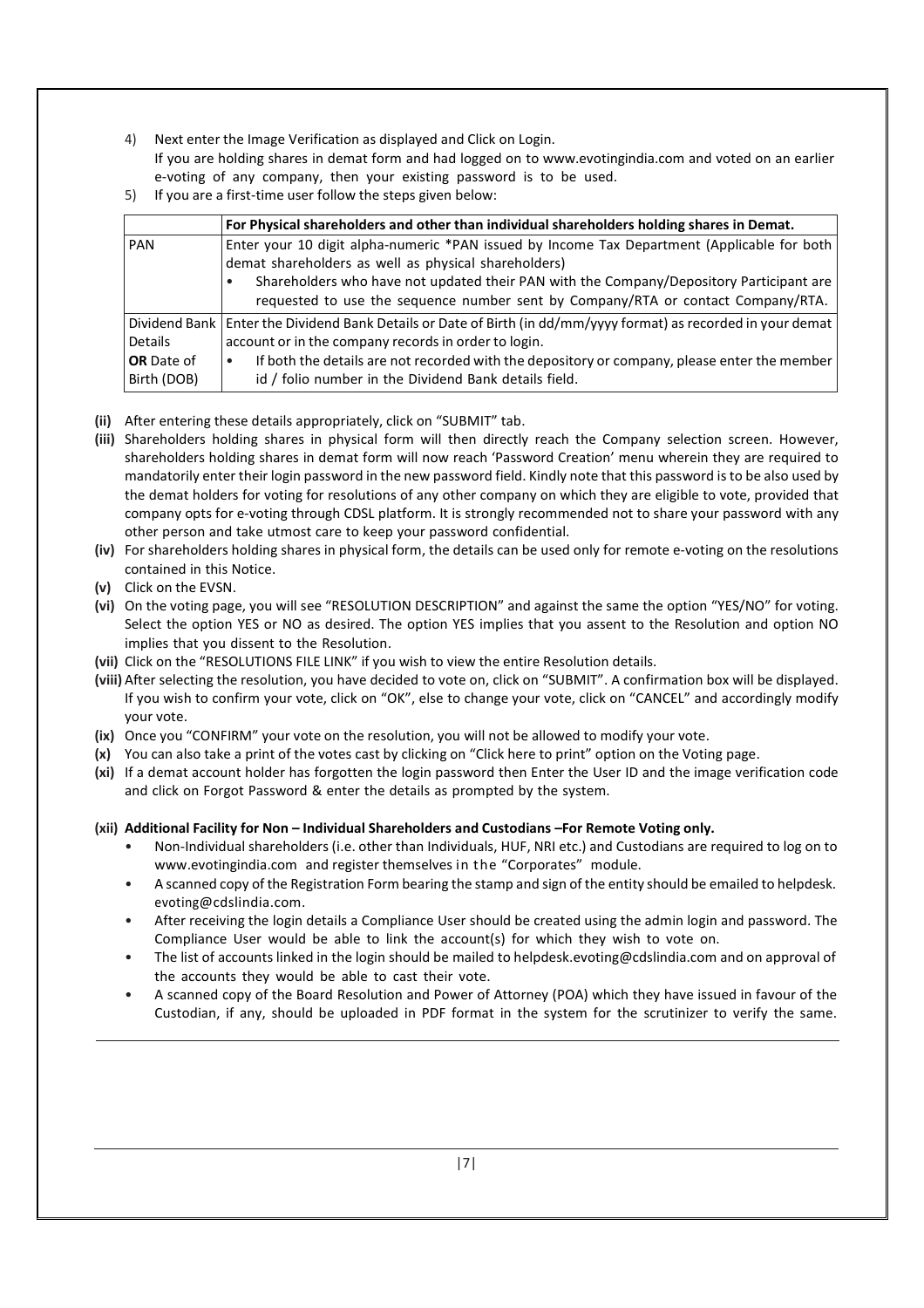- 4) Next enter the Image Verification as displayed and Click on Login. If you are holding shares in demat form and had logged on to www.evotingindia.com and voted on an earlier e-voting of any company, then your existing password is to be used.
- 5) If you are a first-time user follow the steps given below:

|                                  | For Physical shareholders and other than individual shareholders holding shares in Demat.                                                                                                                                                                                                                                          |  |
|----------------------------------|------------------------------------------------------------------------------------------------------------------------------------------------------------------------------------------------------------------------------------------------------------------------------------------------------------------------------------|--|
| <b>PAN</b>                       | Enter your 10 digit alpha-numeric *PAN issued by Income Tax Department (Applicable for both<br>demat shareholders as well as physical shareholders)<br>Shareholders who have not updated their PAN with the Company/Depository Participant are<br>requested to use the sequence number sent by Company/RTA or contact Company/RTA. |  |
|                                  | Dividend Bank   Enter the Dividend Bank Details or Date of Birth (in dd/mm/yyyy format) as recorded in your demat                                                                                                                                                                                                                  |  |
| <b>Details</b>                   | account or in the company records in order to login.                                                                                                                                                                                                                                                                               |  |
| <b>OR</b> Date of<br>Birth (DOB) | If both the details are not recorded with the depository or company, please enter the member<br>id / folio number in the Dividend Bank details field.                                                                                                                                                                              |  |

- **(ii)** After entering these details appropriately, click on "SUBMIT" tab.
- **(iii)** Shareholders holding shares in physical form will then directly reach the Company selection screen. However, shareholders holding shares in demat form will now reach 'Password Creation' menu wherein they are required to mandatorily enter their login password in the new password field. Kindly note that this password is to be also used by the demat holders for voting for resolutions of any other company on which they are eligible to vote, provided that company opts for e-voting through CDSL platform. It is strongly recommended not to share your password with any other person and take utmost care to keep your password confidential.
- **(iv)** For shareholders holding shares in physical form, the details can be used only for remote e-voting on the resolutions contained in this Notice.
- **(v)** Click on the EVSN.
- **(vi)** On the voting page, you will see "RESOLUTION DESCRIPTION" and against the same the option "YES/NO" for voting. Select the option YES or NO as desired. The option YES implies that you assent to the Resolution and option NO implies that you dissent to the Resolution.
- **(vii)** Click on the "RESOLUTIONS FILE LINK" if you wish to view the entire Resolution details.
- **(viii)** After selecting the resolution, you have decided to vote on, click on "SUBMIT". A confirmation box will be displayed. If you wish to confirm your vote, click on "OK", else to change your vote, click on "CANCEL" and accordingly modify your vote.
- **(ix)** Once you "CONFIRM" your vote on the resolution, you will not be allowed to modify your vote.
- **(x)** You can also take a print of the votes cast by clicking on "Click here to print" option on the Voting page.
- **(xi)** If a demat account holder has forgotten the login password then Enter the User ID and the image verification code and click on Forgot Password & enter the details as prompted by the system.

# **(xii) Additional Facility for Non – Individual Shareholders and Custodians –For Remote Voting only.**

- Non-Individual shareholders (i.e. other than Individuals, HUF, NRI etc.) and Custodians are required to log on to www.evotingindia.com and register themselves in the "Corporates" module.
- A scanned copy of the Registration Form bearing the stamp and sign of the entity should be emailed to helpdesk. evoting@cdslindia.com.
- After receiving the login details a Compliance User should be created using the admin login and password. The Compliance User would be able to link the account(s) for which they wish to vote on.
- The list of accounts linked in the login should be mailed to helpdesk.evoting@cdslindia.com and on approval of the accounts they would be able to cast their vote.
- A scanned copy of the Board Resolution and Power of Attorney (POA) which they have issued in favour of the Custodian, if any, should be uploaded in PDF format in the system for the scrutinizer to verify the same.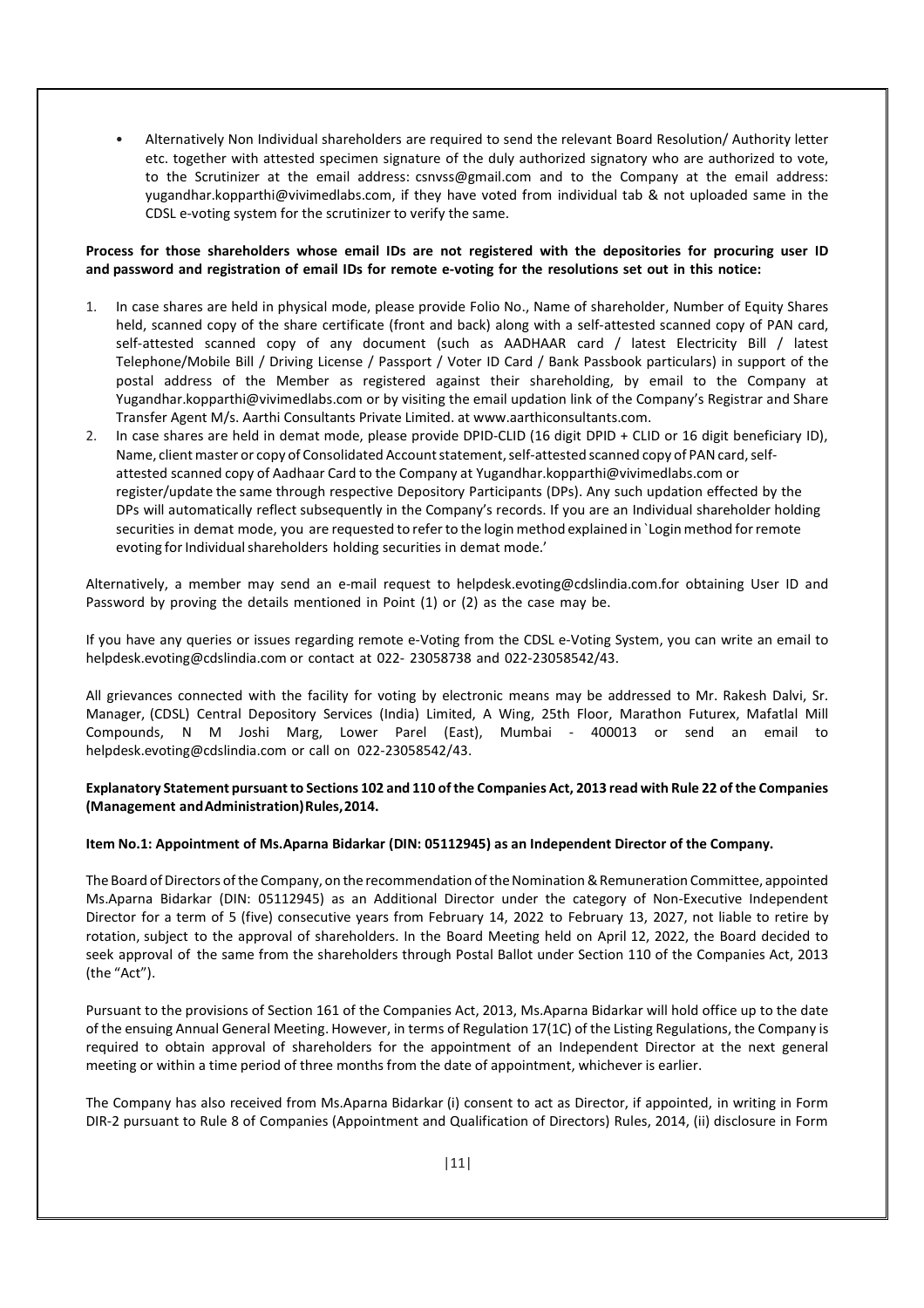• Alternatively Non Individual shareholders are required to send the relevant Board Resolution/ Authority letter etc. together with attested specimen signature of the duly authorized signatory who are authorized to vote, to the Scrutinizer at the email address: csnvss@gmail.com and to the Company at the email address: yugandhar.kopparthi@vivimedlabs.com, if they have voted from individual tab & not uploaded same in the CDSL e-voting system for the scrutinizer to verify the same.

#### **Process for those shareholders whose email IDs are not registered with the depositories for procuring user ID and password and registration of email IDs for remote e-voting for the resolutions set out in this notice:**

- 1. In case shares are held in physical mode, please provide Folio No., Name of shareholder, Number of Equity Shares held, scanned copy of the share certificate (front and back) along with a self-attested scanned copy of PAN card, self-attested scanned copy of any document (such as AADHAAR card / latest Electricity Bill / latest Telephone/Mobile Bill / Driving License / Passport / Voter ID Card / Bank Passbook particulars) in support of the postal address of the Member as registered against their shareholding, by email to the Company at Yugandhar.kopparthi@vivimedlabs.com or by visiting the email updation link of the Company's Registrar and Share Transfer Agent M/s. Aarthi Consultants Private Limited. at www.aarthiconsultants.com.
- 2. In case shares are held in demat mode, please provide DPID-CLID (16 digit DPID + CLID or 16 digit beneficiary ID), Name, client master or copy of Consolidated Account statement, self-attested scanned copy of PAN card, selfattested scanned copy of Aadhaar Card to the Company at Yugandhar.kopparthi@vivimedlabs.com or register/update the same through respective Depository Participants (DPs). Any such updation effected by the DPs will automatically reflect subsequently in the Company's records. If you are an Individual shareholder holding securities in demat mode, you are requested to refer to the login method explained in `Login method for remote evoting for Individual shareholders holding securities in demat mode.'

Alternatively, a member may send an e-mail request to helpdesk.evoting@cdslindia.com.for obtaining User ID and Password by proving the details mentioned in Point (1) or (2) as the case may be.

If you have any queries or issues regarding remote e-Voting from the CDSL e-Voting System, you can write an email to helpdesk.evoting@cdslindia.com or contact at 022- 23058738 and 022-23058542/43.

All grievances connected with the facility for voting by electronic means may be addressed to Mr. Rakesh Dalvi, Sr. Manager, (CDSL) Central Depository Services (India) Limited, A Wing, 25th Floor, Marathon Futurex, Mafatlal Mill Compounds, N M Joshi Marg, Lower Parel (East), Mumbai - 400013 or send an email to helpdesk.evoting@cdslindia.com or call on 022-23058542/43.

# **Explanatory Statement pursuant to Sections 102 and 110 of the Companies Act, 2013 read with Rule 22 of the Companies (Management and Administration) Rules, 2014.**

#### **Item No.1: Appointment of Ms.Aparna Bidarkar (DIN: 05112945) as an Independent Director of the Company.**

The Board of Directors of the Company, on the recommendation of the Nomination & Remuneration Committee, appointed Ms.Aparna Bidarkar (DIN: 05112945) as an Additional Director under the category of Non-Executive Independent Director for a term of 5 (five) consecutive years from February 14, 2022 to February 13, 2027, not liable to retire by rotation, subject to the approval of shareholders. In the Board Meeting held on April 12, 2022, the Board decided to seek approval of the same from the shareholders through Postal Ballot under Section 110 of the Companies Act, 2013 (the "Act").

Pursuant to the provisions of Section 161 of the Companies Act, 2013, Ms.Aparna Bidarkar will hold office up to the date of the ensuing Annual General Meeting. However, in terms of Regulation 17(1C) of the Listing Regulations, the Company is required to obtain approval of shareholders for the appointment of an Independent Director at the next general meeting or within a time period of three months from the date of appointment, whichever is earlier.

The Company has also received from Ms.Aparna Bidarkar (i) consent to act as Director, if appointed, in writing in Form DIR-2 pursuant to Rule 8 of Companies (Appointment and Qualification of Directors) Rules, 2014, (ii) disclosure in Form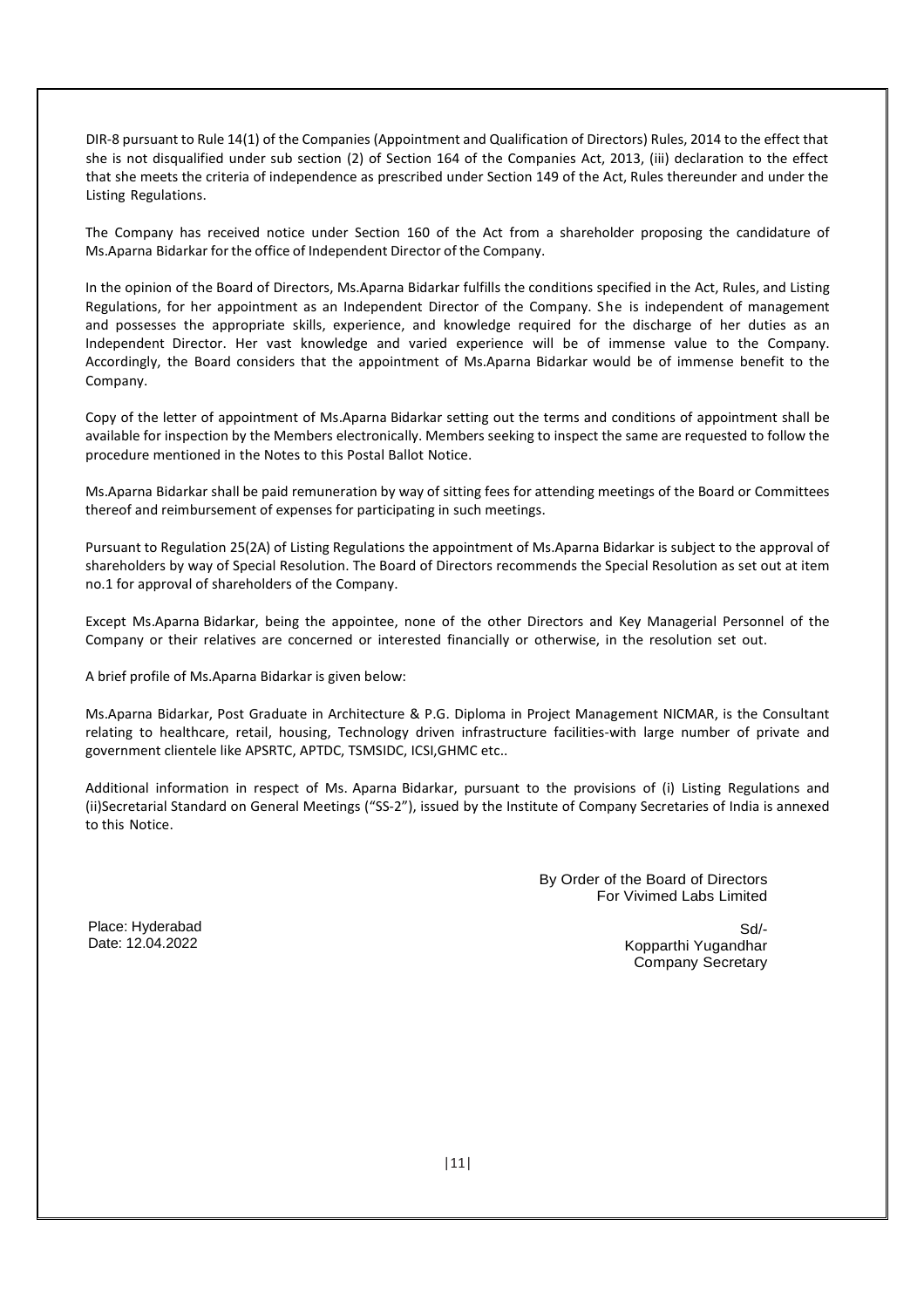DIR-8 pursuant to Rule 14(1) of the Companies (Appointment and Qualification of Directors) Rules, 2014 to the effect that she is not disqualified under sub section (2) of Section 164 of the Companies Act, 2013, (iii) declaration to the effect that she meets the criteria of independence as prescribed under Section 149 of the Act, Rules thereunder and under the Listing Regulations.

The Company has received notice under Section 160 of the Act from a shareholder proposing the candidature of Ms.Aparna Bidarkar for the office of Independent Director of the Company.

In the opinion of the Board of Directors, Ms.Aparna Bidarkar fulfills the conditions specified in the Act, Rules, and Listing Regulations, for her appointment as an Independent Director of the Company. She is independent of management and possesses the appropriate skills, experience, and knowledge required for the discharge of her duties as an Independent Director. Her vast knowledge and varied experience will be of immense value to the Company. Accordingly, the Board considers that the appointment of Ms.Aparna Bidarkar would be of immense benefit to the Company.

Copy of the letter of appointment of Ms.Aparna Bidarkar setting out the terms and conditions of appointment shall be available for inspection by the Members electronically. Members seeking to inspect the same are requested to follow the procedure mentioned in the Notes to this Postal Ballot Notice.

Ms.Aparna Bidarkar shall be paid remuneration by way of sitting fees for attending meetings of the Board or Committees thereof and reimbursement of expenses for participating in such meetings.

Pursuant to Regulation 25(2A) of Listing Regulations the appointment of Ms.Aparna Bidarkar is subject to the approval of shareholders by way of Special Resolution. The Board of Directors recommends the Special Resolution as set out at item no.1 for approval of shareholders of the Company.

Except Ms.Aparna Bidarkar, being the appointee, none of the other Directors and Key Managerial Personnel of the Company or their relatives are concerned or interested financially or otherwise, in the resolution set out.

A brief profile of Ms.Aparna Bidarkar is given below:

Ms.Aparna Bidarkar, Post Graduate in Architecture & P.G. Diploma in Project Management NICMAR, is the Consultant relating to healthcare, retail, housing, Technology driven infrastructure facilities-with large number of private and government clientele like APSRTC, APTDC, TSMSIDC, ICSI,GHMC etc..

Additional information in respect of Ms. Aparna Bidarkar, pursuant to the provisions of (i) Listing Regulations and (ii)Secretarial Standard on General Meetings ("SS-2"), issued by the Institute of Company Secretaries of India is annexed to this Notice.

> By Order of the Board of Directors For Vivimed Labs Limited

Place: Hyderabad Date: 12.04.2022

Sd/- Kopparthi Yugandhar Company Secretary